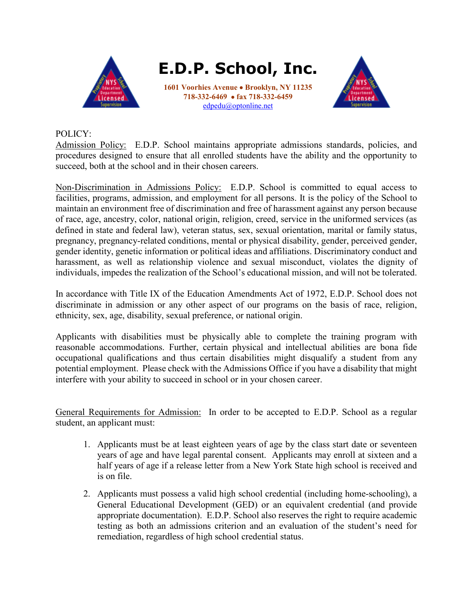

**E.D.P. School, Inc.**

**1601 Voorhies Avenue** • **Brooklyn, NY 11235 718-332-6469** • **fax 718-332-6459** [edpedu@optonline.net](mailto:edpschool@earthlink.net)



## POLICY:

Admission Policy: E.D.P. School maintains appropriate admissions standards, policies, and procedures designed to ensure that all enrolled students have the ability and the opportunity to succeed, both at the school and in their chosen careers.

Non-Discrimination in Admissions Policy: E.D.P. School is committed to equal access to facilities, programs, admission, and employment for all persons. It is the policy of the School to maintain an environment free of discrimination and free of harassment against any person because of race, age, ancestry, color, national origin, religion, creed, service in the uniformed services (as defined in state and federal law), veteran status, sex, sexual orientation, marital or family status, pregnancy, pregnancy-related conditions, mental or physical disability, gender, perceived gender, gender identity, genetic information or political ideas and affiliations. Discriminatory conduct and harassment, as well as relationship violence and sexual misconduct, violates the dignity of individuals, impedes the realization of the School's educational mission, and will not be tolerated.

In accordance with Title IX of the Education Amendments Act of 1972, E.D.P. School does not discriminate in admission or any other aspect of our programs on the basis of race, religion, ethnicity, sex, age, disability, sexual preference, or national origin.

Applicants with disabilities must be physically able to complete the training program with reasonable accommodations. Further, certain physical and intellectual abilities are bona fide occupational qualifications and thus certain disabilities might disqualify a student from any potential employment. Please check with the Admissions Office if you have a disability that might interfere with your ability to succeed in school or in your chosen career.

General Requirements for Admission: In order to be accepted to E.D.P. School as a regular student, an applicant must:

- 1. Applicants must be at least eighteen years of age by the class start date or seventeen years of age and have legal parental consent. Applicants may enroll at sixteen and a half years of age if a release letter from a New York State high school is received and is on file.
- 2. Applicants must possess a valid high school credential (including home-schooling), a General Educational Development (GED) or an equivalent credential (and provide appropriate documentation). E.D.P. School also reserves the right to require academic testing as both an admissions criterion and an evaluation of the student's need for remediation, regardless of high school credential status.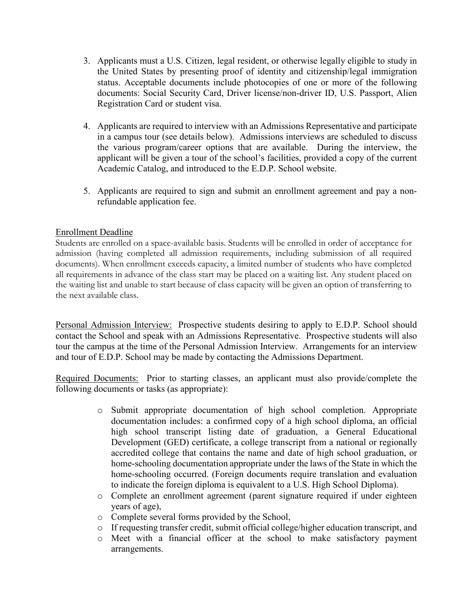- 3. Applicants must a U.S. Citizen, legal resident, or otherwise legally eligible to study in the United States by presenting proof of identity and citizenship/legal immigration status. Acceptable documents include photocopies of one or more of the following documents: Social Security Card, Driver license/non-driver ID, U.S. Passport, Alien Registration Card or student visa.
- 4. Applicants are required to interview with an Admissions Representative and participate in a campus tour (see details below). Admissions interviews are scheduled to discuss the various program/career options that are available. During the interview, the applicant will be given a tour of the school's facilities, provided a copy of the current Academic Catalog, and introduced to the E.D.P. School website.
- 5. Applicants are required to sign and submit an enrollment agreement and pay a nonrefundable application fee.

## Enrollment Deadline

Students are enrolled on a space-available basis. Students will be enrolled in order of acceptance for admission (having completed all admission requirements, including submission of all required documents). When enrollment exceeds capacity, a limited number of students who have completed all requirements in advance of the class start may be placed on a waiting list. Any student placed on the waiting list and unable to start because of class capacity will be given an option of transferring to the next available class.

Personal Admission Interview: Prospective students desiring to apply to E.D.P. School should contact the School and speak with an Admissions Representative. Prospective students will also tour the campus at the time of the Personal Admission Interview. Arrangements for an interview and tour of E.D.P. School may be made by contacting the Admissions Department.

Required Documents: Prior to starting classes, an applicant must also provide/complete the following documents or tasks (as appropriate):

- o Submit appropriate documentation of high school completion. Appropriate documentation includes: a confirmed copy of a high school diploma, an official high school transcript listing date of graduation, a General Educational Development (GED) certificate, a college transcript from a national or regionally accredited college that contains the name and date of high school graduation, or home-schooling documentation appropriate under the laws of the State in which the home-schooling occurred. (Foreign documents require translation and evaluation to indicate the foreign diploma is equivalent to a U.S. High School Diploma).
- o Complete an enrollment agreement (parent signature required if under eighteen years of age),
- o Complete several forms provided by the School,
- o If requesting transfer credit, submit official college/higher education transcript, and
- o Meet with a financial officer at the school to make satisfactory payment arrangements.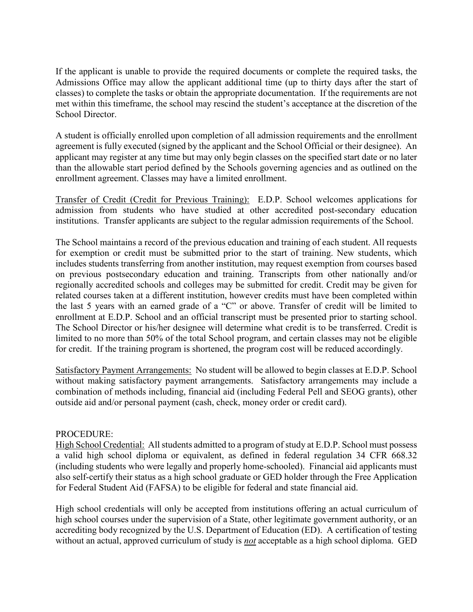If the applicant is unable to provide the required documents or complete the required tasks, the Admissions Office may allow the applicant additional time (up to thirty days after the start of classes) to complete the tasks or obtain the appropriate documentation. If the requirements are not met within this timeframe, the school may rescind the student's acceptance at the discretion of the School Director.

A student is officially enrolled upon completion of all admission requirements and the enrollment agreement is fully executed (signed by the applicant and the School Official or their designee). An applicant may register at any time but may only begin classes on the specified start date or no later than the allowable start period defined by the Schools governing agencies and as outlined on the enrollment agreement. Classes may have a limited enrollment.

Transfer of Credit (Credit for Previous Training): E.D.P. School welcomes applications for admission from students who have studied at other accredited post-secondary education institutions. Transfer applicants are subject to the regular admission requirements of the School.

The School maintains a record of the previous education and training of each student. All requests for exemption or credit must be submitted prior to the start of training. New students, which includes students transferring from another institution, may request exemption from courses based on previous postsecondary education and training. Transcripts from other nationally and/or regionally accredited schools and colleges may be submitted for credit. Credit may be given for related courses taken at a different institution, however credits must have been completed within the last 5 years with an earned grade of a "C" or above. Transfer of credit will be limited to enrollment at E.D.P. School and an official transcript must be presented prior to starting school. The School Director or his/her designee will determine what credit is to be transferred. Credit is limited to no more than 50% of the total School program, and certain classes may not be eligible for credit. If the training program is shortened, the program cost will be reduced accordingly.

Satisfactory Payment Arrangements: No student will be allowed to begin classes at E.D.P. School without making satisfactory payment arrangements. Satisfactory arrangements may include a combination of methods including, financial aid (including Federal Pell and SEOG grants), other outside aid and/or personal payment (cash, check, money order or credit card).

## PROCEDURE:

High School Credential: All students admitted to a program of study at E.D.P. School must possess a valid high school diploma or equivalent, as defined in federal regulation 34 CFR 668.32 (including students who were legally and properly home-schooled). Financial aid applicants must also self-certify their status as a high school graduate or GED holder through the Free Application for Federal Student Aid (FAFSA) to be eligible for federal and state financial aid.

High school credentials will only be accepted from institutions offering an actual curriculum of high school courses under the supervision of a State, other legitimate government authority, or an accrediting body recognized by the U.S. Department of Education (ED). A certification of testing without an actual, approved curriculum of study is *not* acceptable as a high school diploma. GED